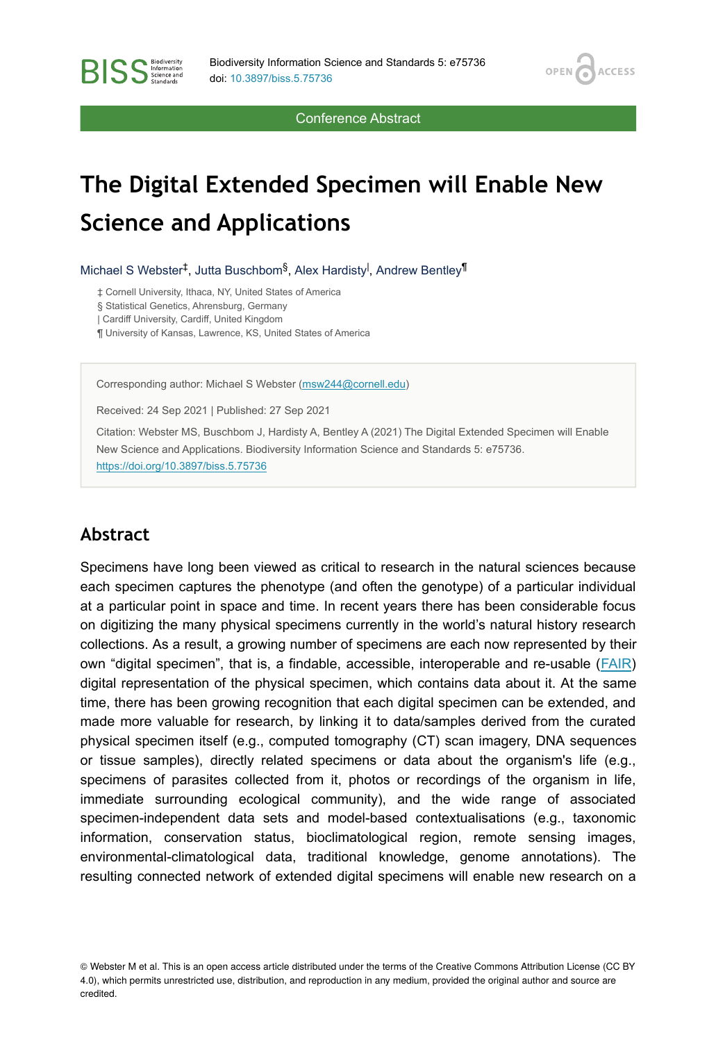OPEN<sub>C</sub>

**ACCESS** 

Conference Abstract

# **The Digital Extended Specimen will Enable New Science and Applications**

Michael S Webster<sup>‡</sup>, Jutta Buschbom<sup>§</sup>, Alex Hardisty<sup>l</sup>, Andrew Bentley<sup>¶</sup>

‡ Cornell University, Ithaca, NY, United States of America

§ Statistical Genetics, Ahrensburg, Germany

| Cardiff University, Cardiff, United Kingdom

**BISS** Steince and

¶ University of Kansas, Lawrence, KS, United States of America

Corresponding author: Michael S Webster [\(msw244@cornell.edu\)](mailto:msw244@cornell.edu)

Received: 24 Sep 2021 | Published: 27 Sep 2021

Citation: Webster MS, Buschbom J, Hardisty A, Bentley A (2021) The Digital Extended Specimen will Enable New Science and Applications. Biodiversity Information Science and Standards 5: e75736. <https://doi.org/10.3897/biss.5.75736>

#### **Abstract**

Specimens have long been viewed as critical to research in the natural sciences because each specimen captures the phenotype (and often the genotype) of a particular individual at a particular point in space and time. In recent years there has been considerable focus on digitizing the many physical specimens currently in the world's natural history research collections. As a result, a growing number of specimens are each now represented by their own "digital specimen", that is, a findable, accessible, interoperable and re-usable [\(FAIR](https://www.go-fair.org/fair-principles/)) digital representation of the physical specimen, which contains data about it. At the same time, there has been growing recognition that each digital specimen can be extended, and made more valuable for research, by linking it to data/samples derived from the curated physical specimen itself (e.g., computed tomography (CT) scan imagery, DNA sequences or tissue samples), directly related specimens or data about the organism's life (e.g., specimens of parasites collected from it, photos or recordings of the organism in life, immediate surrounding ecological community), and the wide range of associated specimen-independent data sets and model-based contextualisations (e.g., taxonomic information, conservation status, bioclimatological region, remote sensing images, environmental-climatological data, traditional knowledge, genome annotations). The resulting connected network of extended digital specimens will enable new research on a

© Webster M et al. This is an open access article distributed under the terms of the Creative Commons Attribution License (CC BY 4.0), which permits unrestricted use, distribution, and reproduction in any medium, provided the original author and source are credited.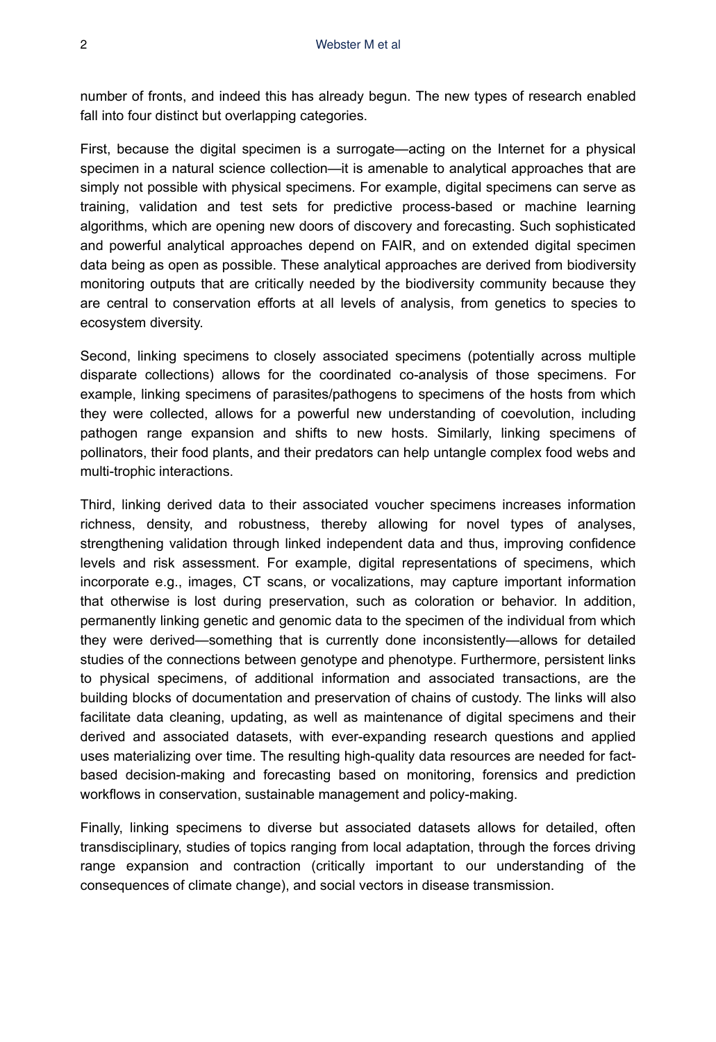number of fronts, and indeed this has already begun. The new types of research enabled fall into four distinct but overlapping categories.

First, because the digital specimen is a surrogate—acting on the Internet for a physical specimen in a natural science collection—it is amenable to analytical approaches that are simply not possible with physical specimens. For example, digital specimens can serve as training, validation and test sets for predictive process-based or machine learning algorithms, which are opening new doors of discovery and forecasting. Such sophisticated and powerful analytical approaches depend on FAIR, and on extended digital specimen data being as open as possible. These analytical approaches are derived from biodiversity monitoring outputs that are critically needed by the biodiversity community because they are central to conservation efforts at all levels of analysis, from genetics to species to ecosystem diversity.

Second, linking specimens to closely associated specimens (potentially across multiple disparate collections) allows for the coordinated co-analysis of those specimens. For example, linking specimens of parasites/pathogens to specimens of the hosts from which they were collected, allows for a powerful new understanding of coevolution, including pathogen range expansion and shifts to new hosts. Similarly, linking specimens of pollinators, their food plants, and their predators can help untangle complex food webs and multi-trophic interactions.

Third, linking derived data to their associated voucher specimens increases information richness, density, and robustness, thereby allowing for novel types of analyses, strengthening validation through linked independent data and thus, improving confidence levels and risk assessment. For example, digital representations of specimens, which incorporate e.g., images, CT scans, or vocalizations, may capture important information that otherwise is lost during preservation, such as coloration or behavior. In addition, permanently linking genetic and genomic data to the specimen of the individual from which they were derived—something that is currently done inconsistently—allows for detailed studies of the connections between genotype and phenotype. Furthermore, persistent links to physical specimens, of additional information and associated transactions, are the building blocks of documentation and preservation of chains of custody. The links will also facilitate data cleaning, updating, as well as maintenance of digital specimens and their derived and associated datasets, with ever-expanding research questions and applied uses materializing over time. The resulting high-quality data resources are needed for factbased decision-making and forecasting based on monitoring, forensics and prediction workflows in conservation, sustainable management and policy-making.

Finally, linking specimens to diverse but associated datasets allows for detailed, often transdisciplinary, studies of topics ranging from local adaptation, through the forces driving range expansion and contraction (critically important to our understanding of the consequences of climate change), and social vectors in disease transmission.